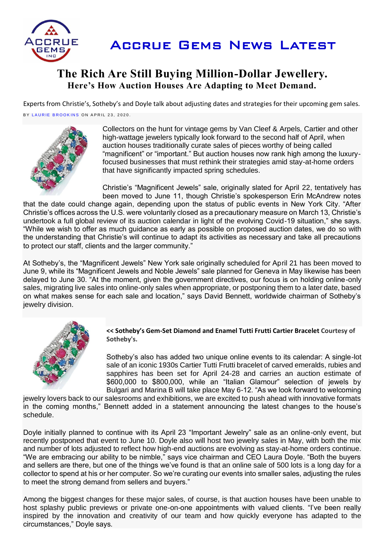

# **The Rich Are Still Buying Million-Dollar Jewellery. Here's How Auction Houses Are Adapting to Meet Demand.**

Experts from Christie's, Sotheby's and Doyle talk about adjusting dates and strategies for their upcoming gem sales. BY LAURIE BROOKINS ON APRIL 23, 2020.



Collectors on the hunt for vintage gems by Van Cleef & Arpels, Cartier and other high-wattage jewelers typically look forward to the second half of April, when auction houses traditionally curate sales of pieces worthy of being called "magnificent" or "important." But auction houses now rank high among the luxuryfocused businesses that must rethink their strategies amid stay-at-home orders that have significantly impacted spring schedules.

Christie's "Magnificent Jewels" sale, originally slated for April 22, tentatively has been moved to June 11, though Christie's spokesperson Erin McAndrew notes

that the date could change again, depending upon the status of public events in New York City. "After Christie's offices across the U.S. were voluntarily closed as a precautionary measure on March 13, Christie's undertook a full global review of its auction calendar in light of the evolving Covid-19 situation," she says. "While we wish to offer as much guidance as early as possible on proposed auction dates, we do so with the understanding that Christie's will continue to adapt its activities as necessary and take all precautions to protect our staff, clients and the larger community."

At Sotheby's, the "Magnificent Jewels" New York sale originally scheduled for April 21 has been moved to June 9, while its "Magnificent Jewels and Noble Jewels" sale planned for Geneva in May likewise has been delayed to June 30. "At the moment, given the government directives, our focus is on holding online-only sales, migrating live sales into online-only sales when appropriate, or postponing them to a later date, based on what makes sense for each sale and location," says David Bennett, worldwide chairman of Sotheby's jewelry division.



#### **<< Sotheby's Gem-Set Diamond and Enamel Tutti Frutti Cartier Bracelet Courtesy of Sotheby's.**

Sotheby's also has added two unique online events to its calendar: A single-lot sale of an iconic 1930s Cartier Tutti Frutti bracelet of carved emeralds, rubies and sapphires has been set for April 24-28 and carries an auction estimate of \$600,000 to \$800,000, while an "Italian Glamour" selection of jewels by Bulgari and Marina B will take place May 6-12. "As we look forward to welcoming

jewelry lovers back to our salesrooms and exhibitions, we are excited to push ahead with innovative formats in the coming months," Bennett added in a statement announcing the latest changes to the house's schedule.

Doyle initially planned to continue with its April 23 "Important Jewelry" sale as an online-only event, but recently postponed that event to June 10. Doyle also will host two jewelry sales in May, with both the mix and number of lots adjusted to reflect how high-end auctions are evolving as stay-at-home orders continue. "We are embracing our ability to be nimble," says vice chairman and CEO Laura Doyle. "Both the buyers and sellers are there, but one of the things we've found is that an online sale of 500 lots is a long day for a collector to spend at his or her computer. So we're curating our events into smaller sales, adjusting the rules to meet the strong demand from sellers and buyers."

Among the biggest changes for these major sales, of course, is that auction houses have been unable to host splashy public previews or private one-on-one appointments with valued clients. "I've been really inspired by the innovation and creativity of our team and how quickly everyone has adapted to the circumstances," Doyle says.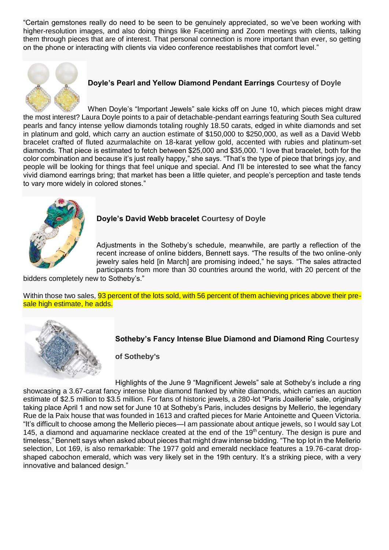"Certain gemstones really do need to be seen to be genuinely appreciated, so we've been working with higher-resolution images, and also doing things like Facetiming and Zoom meetings with clients, talking them through pieces that are of interest. That personal connection is more important than ever, so getting on the phone or interacting with clients via video conference reestablishes that comfort level."



## **Doyle's Pearl and Yellow Diamond Pendant Earrings Courtesy of Doyle**

When Doyle's "Important Jewels" sale kicks off on June 10, which pieces might draw the most interest? Laura Doyle points to a pair of detachable-pendant earrings featuring South Sea cultured pearls and fancy intense yellow diamonds totaling roughly 18.50 carats, edged in white diamonds and set in platinum and gold, which carry an auction estimate of \$150,000 to \$250,000, as well as a David Webb bracelet crafted of fluted azurmalachite on 18-karat yellow gold, accented with rubies and platinum-set diamonds. That piece is estimated to fetch between \$25,000 and \$35,000. "I love that bracelet, both for the color combination and because it's just really happy," she says. "That's the type of piece that brings joy, and people will be looking for things that feel unique and special. And I'll be interested to see what the fancy vivid diamond earrings bring; that market has been a little quieter, and people's perception and taste tends to vary more widely in colored stones."



#### **Doyle's David Webb bracelet Courtesy of Doyle**

Adjustments in the Sotheby's schedule, meanwhile, are partly a reflection of the recent increase of online bidders, Bennett says. "The results of the two online-only jewelry sales held [in March] are promising indeed," he says. "The sales attracted participants from more than 30 countries around the world, with 20 percent of the

bidders completely new to Sotheby's."

Within those two sales, **93 percent of the lots sold, with 56 percent of them achieving prices above their pre**sale high estimate, he adds.



#### **Sotheby's Fancy Intense Blue Diamond and Diamond Ring Courtesy**

**of Sotheby's**

Highlights of the June 9 "Magnificent Jewels" sale at Sotheby's include a ring showcasing a 3.67-carat fancy intense blue diamond flanked by white diamonds, which carries an auction estimate of \$2.5 million to \$3.5 million. For fans of historic jewels, a 280-lot "Paris Joaillerie" sale, originally taking place April 1 and now set for June 10 at Sotheby's Paris, includes designs by Mellerio, the legendary Rue de la Paix house that was founded in 1613 and crafted pieces for Marie Antoinette and Queen Victoria. "It's difficult to choose among the Mellerio pieces—I am passionate about antique jewels, so I would say Lot 145, a diamond and aquamarine necklace created at the end of the 19<sup>th</sup> century. The design is pure and timeless," Bennett says when asked about pieces that might draw intense bidding. "The top lot in the Mellerio selection, Lot 169, is also remarkable: The 1977 gold and emerald necklace features a 19.76-carat dropshaped cabochon emerald, which was very likely set in the 19th century. It's a striking piece, with a very innovative and balanced design."